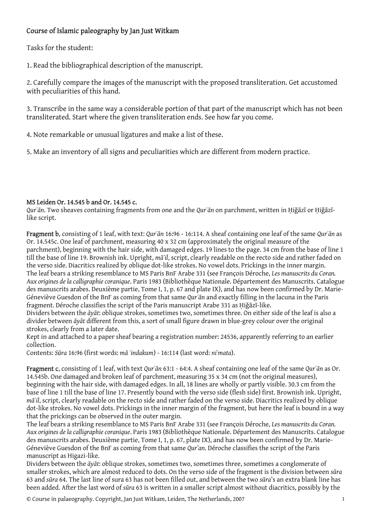## Course of Islamic paleography by Jan Just Witkam

Tasks for the student:

1. Read the bibliographical description of the manuscript.

2. Carefully compare the images of the manuscript with the proposed transliteration. Get accustomed with peculiarities of this hand.

3. Transcribe in the same way a considerable portion of that part of the manuscript which has not been transliterated. Start where the given transliteration ends. See how far you come.

4. Note remarkable or unusual ligatures and make a list of these.

5. Make an inventory of all signs and peculiarities which are different from modern practice.

## MS Leiden Or. 14.545 b and Or. 14.545 c.

*Qurʾān*. Two sheaves containing fragments from one and the *Qurʾān* on parchment, written in Ḥiǧāzī or Ḥiǧāzīlike script.

Fragment b, consisting of 1 leaf, with text: *Qurʾān* 16:96 - 16:114. A sheaf containing one leaf of the same *Qurʾān* as Or. 14.545c. One leaf of parchment, measuring 40 x 32 cm (approximately the original measure of the parchment), beginning with the hair side, with damaged edges. 19 lines to the page. 34 cm from the base of line 1 till the base of line 19. Brownish ink. Upright, *māʾil*, script, clearly readable on the recto side and rather faded on the verso side. Diacritics realized by oblique dot-like strokes. No vowel dots. Prickings in the inner margin. The leaf bears a striking resemblance to MS Paris BnF Arabe 331 (see François Déroche, *Les manuscrits du Coran. Aux origines de la calligraphie coranique*. Paris 1983 (Bibliothèque Nationale. Département des Manuscrits. Catalogue des manuscrits arabes. Deuxième partie, Tome I, 1, p. 67 and plate IX), and has now been confirmed by Dr. Marie-Géneviève Guesdon of the BnF as coming from that same *Qurʾān* and exactly filling in the lacuna in the Paris fragment. Déroche classifies the script of the Paris manuscript Arabe 331 as Hiğāzī-like.

Dividers between the *āyāt*: oblique strokes, sometimes two, sometimes three. On either side of the leaf is also a divider between *āyāt* different from this, a sort of small figure drawn in blue-grey colour over the original strokes, clearly from a later date.

Kept in and attached to a paper sheaf bearing a registration number: 24536, apparently referring to an earlier collection.

Contents: *Sūra* 16:96 (first words: *mā ʿindakum*) - 16:114 (last word: *niʿmata*).

Fragment c, consisting of 1 leaf, with text *Qurʾān* 63:1 - 64:4. A sheaf containing one leaf of the same *Qurʾān* as Or. 14.545b. One damaged and broken leaf of parchment, measuring 35 x 34 cm (not the original measures), beginning with the hair side, with damaged edges. In all, 18 lines are wholly or partly visible. 30.3 cm from the base of line 1 till the base of line 17. Presently bound with the verso side (flesh side) first. Brownish ink. Upright, *māʾil*, script, clearly readable on the recto side and rather faded on the verso side. Diacritics realized by oblique dot-like strokes. No vowel dots. Prickings in the inner margin of the fragment, but here the leaf is bound in a way that the prickings can be observed in the outer margin.

The leaf bears a striking resemblance to MS Paris BnF Arabe 331 (see François Déroche, *Les manuscrits du Coran. Aux origines de la calligraphie coranique*. Paris 1983 (Bibliothèque Nationale. Département des Manuscrits. Catalogue des manuscrits arabes. Deuxième partie, Tome I, 1, p. 67, plate IX), and has now been confirmed by Dr. Marie-Géneviève Guesdon of the BnF as coming from that same *Qur'an*. Déroche classifies the script of the Paris manuscript as Higazi-like.

Dividers between the *āyāt*: oblique strokes, sometimes two, sometimes three, sometimes a conglomerate of smaller strokes, which are almost reduced to dots. On the verso side of the fragment is the division between *sūra* 63 and *sūra* 64. The last line of sura 63 has not been filled out, and between the two *sūra*'s an extra blank line has been added. After the last word of *sūra* 63 is written in a smaller script almost without diacritics, possibly by the

© Course in palaeography. Copyright, Jan Just Witkam, Leiden, The Netherlands, 2007 1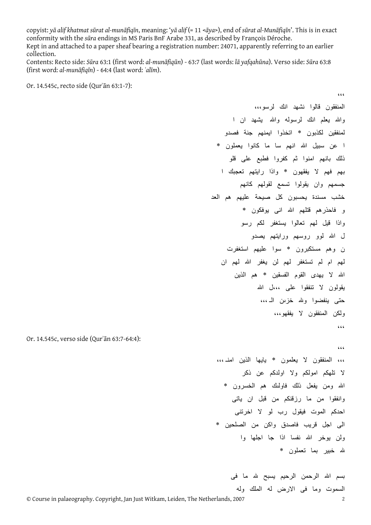copyist: yā alif khatmat sūrat al-munāfiqīn, meaning: 'yā alif (= 11 <āya>), end of sūrat al-Munāfiqīn'. This is in exact conformity with the *sūra* endings in MS Paris BnF Arabe 331, as described by François Déroche. Kept in and attached to a paper sheaf bearing a registration number: 24071, apparently referring to an earlier collection.

Contents: Recto side: Sūra 63:1 (first word: al-munāfigūn) - 63:7 (last words: lā vafgahūna). Verso side: Sūra 63:8 (first word: *al-munāfiqīn*) - 64:4 (last word: *ʿalīm*).

Or. 14.545c, recto side (Qurʾān 63:1-7):

،،، المنفقون قالوا نشهد انك لرسو،،، واالله يعلم انك لرسوله واالله يشهد ان ا لمنفقين لكذبون \* اتخذوا ايمنهم جنة فصدو ا عن سبيل الله انهم سا ما كانوا يعملون \* ذلك بانهم امنوا ثم آفروا فطبع على قلو بهم فهم لا يفقهون \* واذا رايتهم تعجبك ا جسمهم وان يقولوا تسمع لقولهم كانهم خشب مسندة يحسبون آل صيحة عليهم هم العد و فاحذرهم قتلهم االله انى يوفكون \* واذا قيل لهم تعالوا يستغفر لكم رسو ل االله لوو روسهم ورايتهم يصدو ن وهم مستكبرون \* سوا عليهم استغفرت لهم ام لم تستغفر لهم لن يغفر االله لهم ان االله لا يهدى القوم الفسقين \* هم الذين يقولون لا تنفقوا على ،،،ل االله حتى ينفضوا والله خزԩن الـ ،،، ولكن المنفقون لا يفقهو،،، ،،، ،،، ،،، المنفقون لا يعلمون \* يايها الذين امنـ ،،،

لا تلهكم امولكم ولا اولدآم عن ذآر االله ومن يفعل ذلك فاولԩك هم الخسرون \* وانفقوا من ما رزقنكم من قبل ان ياتى احدآم الموت فيقول رب لو لا اخرتنى الى اجل قريب فاصدق واكن من الصلحين \* ولن يوخر االله نفسا اذا جا اجلها وا الله خبير بما تعملون \*

> بسم الله الرحمن الرحيم يسبح لله ما فى السموت وما فى الارض له الملك وله

Or. 14.545c, verso side (Qurʾān 63:7-64:4):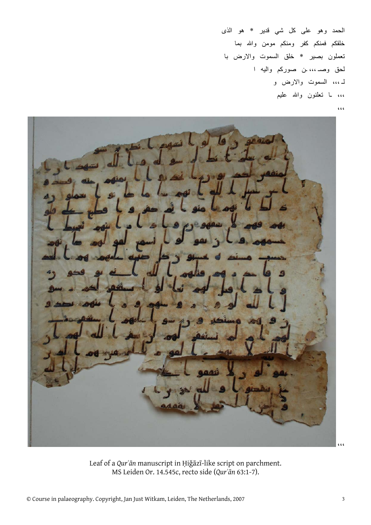الحمد وهو على آل شي قدير \* هو الذى خلقكم فمنكم كفر ومنكم مومن والله بما تعملون بصير \* خلق السموت والارض با لحق وصـ ،،، ـن صورآم واليه ا لـ ،،، السموت والارض و ،،، ـا تعلنون واالله عليم ،،،

،،،

Leaf of a *Qurʾān* manuscript in Ḥiǧāzī-like script on parchment. MS Leiden Or. 14.545c, recto side (*Qurʾān* 63:1-7).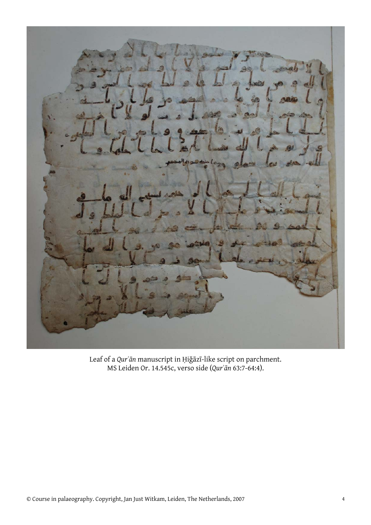

Leaf of a *Qurʾān* manuscript in Ḥiǧāzī-like script on parchment. MS Leiden Or. 14.545c, verso side (*Qurʾān* 63:7-64:4).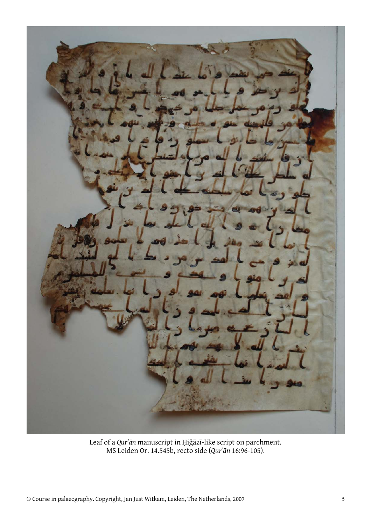

Leaf of a *Qurʾān* manuscript in Ḥiǧāzī-like script on parchment. MS Leiden Or. 14.545b, recto side (*Qurʾān* 16:96-105).